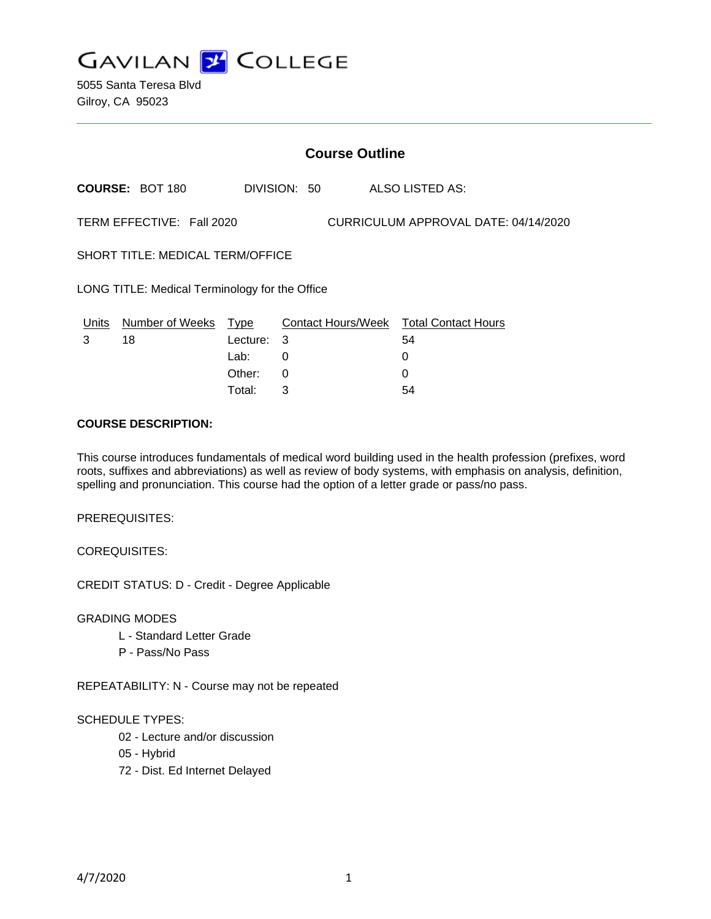

5055 Santa Teresa Blvd Gilroy, CA 95023

|                                                                   | <b>Course Outline</b>  |          |              |  |                                        |  |
|-------------------------------------------------------------------|------------------------|----------|--------------|--|----------------------------------------|--|
|                                                                   | <b>COURSE: BOT 180</b> |          | DIVISION: 50 |  | <b>ALSO LISTED AS:</b>                 |  |
| TERM EFFECTIVE: Fall 2020<br>CURRICULUM APPROVAL DATE: 04/14/2020 |                        |          |              |  |                                        |  |
| <b>SHORT TITLE: MEDICAL TERM/OFFICE</b>                           |                        |          |              |  |                                        |  |
| LONG TITLE: Medical Terminology for the Office                    |                        |          |              |  |                                        |  |
| Units                                                             | Number of Weeks Type   |          |              |  | Contact Hours/Week Total Contact Hours |  |
| 3                                                                 | 18                     | Lecture: | 3            |  | 54                                     |  |
|                                                                   |                        | Lab:     | 0            |  | 0                                      |  |
|                                                                   |                        | Other:   | 0            |  |                                        |  |

Total: 3 54

#### **COURSE DESCRIPTION:**

This course introduces fundamentals of medical word building used in the health profession (prefixes, word roots, suffixes and abbreviations) as well as review of body systems, with emphasis on analysis, definition, spelling and pronunciation. This course had the option of a letter grade or pass/no pass.

PREREQUISITES:

COREQUISITES:

CREDIT STATUS: D - Credit - Degree Applicable

GRADING MODES

- L Standard Letter Grade
- P Pass/No Pass

REPEATABILITY: N - Course may not be repeated

#### SCHEDULE TYPES:

- 02 Lecture and/or discussion
- 05 Hybrid
- 72 Dist. Ed Internet Delayed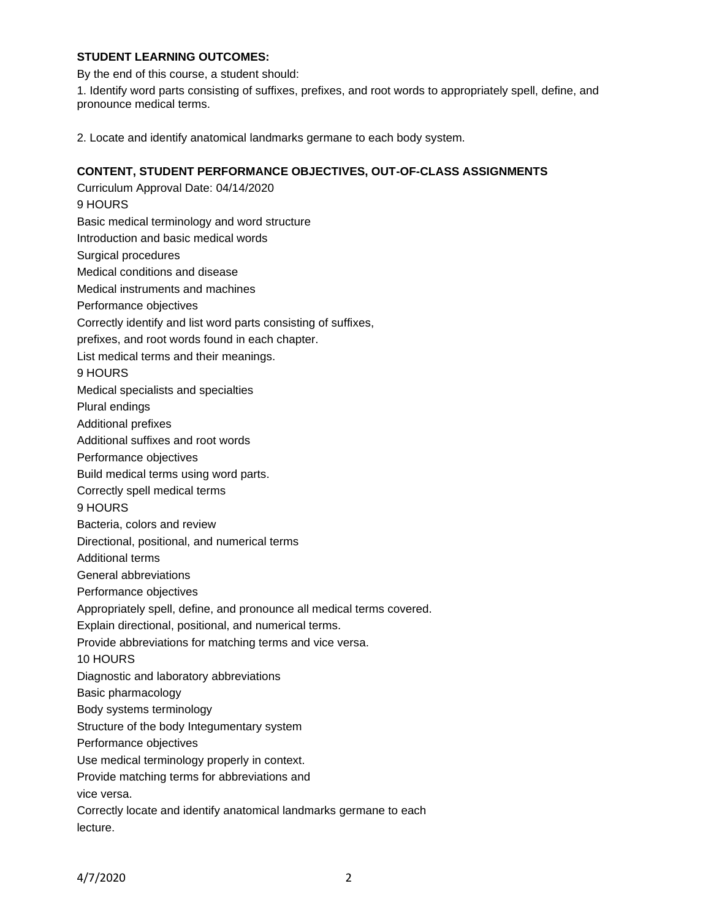## **STUDENT LEARNING OUTCOMES:**

By the end of this course, a student should:

1. Identify word parts consisting of suffixes, prefixes, and root words to appropriately spell, define, and pronounce medical terms.

2. Locate and identify anatomical landmarks germane to each body system.

## **CONTENT, STUDENT PERFORMANCE OBJECTIVES, OUT-OF-CLASS ASSIGNMENTS**

Curriculum Approval Date: 04/14/2020 9 HOURS Basic medical terminology and word structure Introduction and basic medical words Surgical procedures Medical conditions and disease Medical instruments and machines Performance objectives Correctly identify and list word parts consisting of suffixes, prefixes, and root words found in each chapter. List medical terms and their meanings. 9 HOURS Medical specialists and specialties Plural endings Additional prefixes Additional suffixes and root words Performance objectives Build medical terms using word parts. Correctly spell medical terms 9 HOURS Bacteria, colors and review Directional, positional, and numerical terms Additional terms General abbreviations Performance objectives Appropriately spell, define, and pronounce all medical terms covered. Explain directional, positional, and numerical terms. Provide abbreviations for matching terms and vice versa. 10 HOURS Diagnostic and laboratory abbreviations Basic pharmacology Body systems terminology Structure of the body Integumentary system Performance objectives Use medical terminology properly in context. Provide matching terms for abbreviations and vice versa. Correctly locate and identify anatomical landmarks germane to each lecture.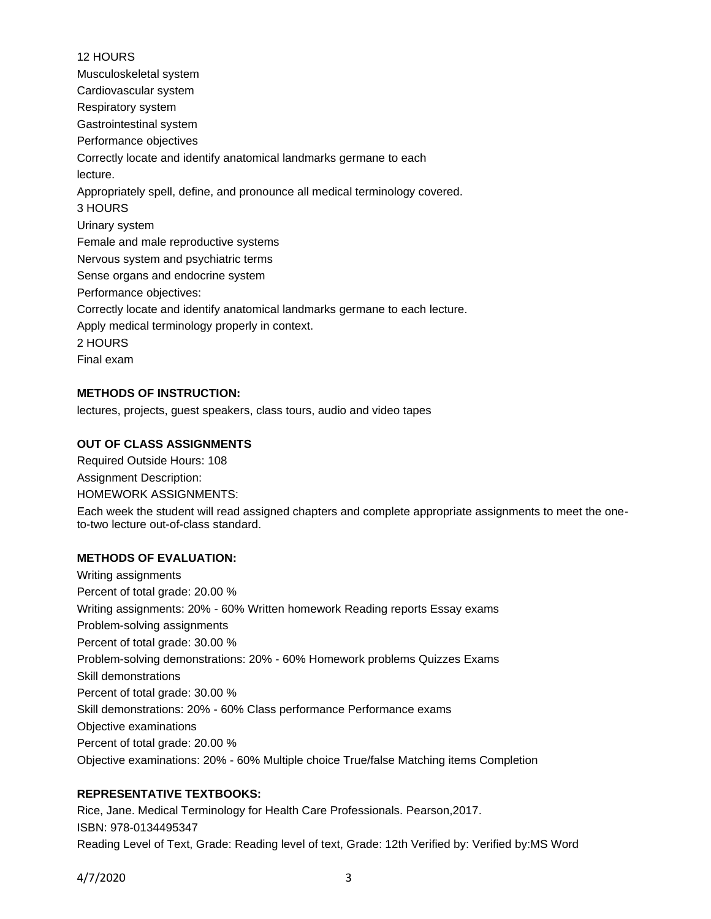# 12 HOURS Musculoskeletal system Cardiovascular system Respiratory system Gastrointestinal system Performance objectives Correctly locate and identify anatomical landmarks germane to each lecture. Appropriately spell, define, and pronounce all medical terminology covered. 3 HOURS Urinary system Female and male reproductive systems Nervous system and psychiatric terms Sense organs and endocrine system Performance objectives: Correctly locate and identify anatomical landmarks germane to each lecture. Apply medical terminology properly in context. 2 HOURS Final exam

## **METHODS OF INSTRUCTION:**

lectures, projects, guest speakers, class tours, audio and video tapes

## **OUT OF CLASS ASSIGNMENTS**

Required Outside Hours: 108 Assignment Description: HOMEWORK ASSIGNMENTS: Each week the student will read assigned chapters and complete appropriate assignments to meet the oneto-two lecture out-of-class standard.

#### **METHODS OF EVALUATION:**

Writing assignments Percent of total grade: 20.00 % Writing assignments: 20% - 60% Written homework Reading reports Essay exams Problem-solving assignments Percent of total grade: 30.00 % Problem-solving demonstrations: 20% - 60% Homework problems Quizzes Exams Skill demonstrations Percent of total grade: 30.00 % Skill demonstrations: 20% - 60% Class performance Performance exams Objective examinations Percent of total grade: 20.00 % Objective examinations: 20% - 60% Multiple choice True/false Matching items Completion

#### **REPRESENTATIVE TEXTBOOKS:**

Rice, Jane. Medical Terminology for Health Care Professionals. Pearson,2017. ISBN: 978-0134495347 Reading Level of Text, Grade: Reading level of text, Grade: 12th Verified by: Verified by:MS Word